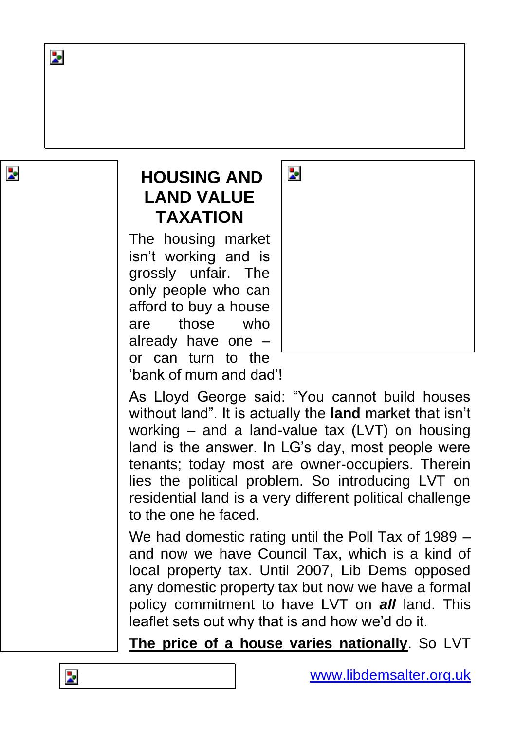

Þ.

## **HOUSING AND LAND VALUE TAXATION**

The housing market isn't working and is grossly unfair. The only people who can afford to buy a house are those who already have one – or can turn to the 'bank of mum and dad'!



As Lloyd George said: "You cannot build houses without land". It is actually the **land** market that isn't working – and a land-value tax (LVT) on housing land is the answer. In LG's day, most people were tenants; today most are owner-occupiers. Therein lies the political problem. So introducing LVT on residential land is a very different political challenge to the one he faced.

We had domestic rating until the Poll Tax of 1989 – and now we have Council Tax, which is a kind of local property tax. Until 2007, Lib Dems opposed any domestic property tax but now we have a formal policy commitment to have LVT on *all* land. This leaflet sets out why that is and how we'd do it.

**The price of a house varies nationally**. So LVT

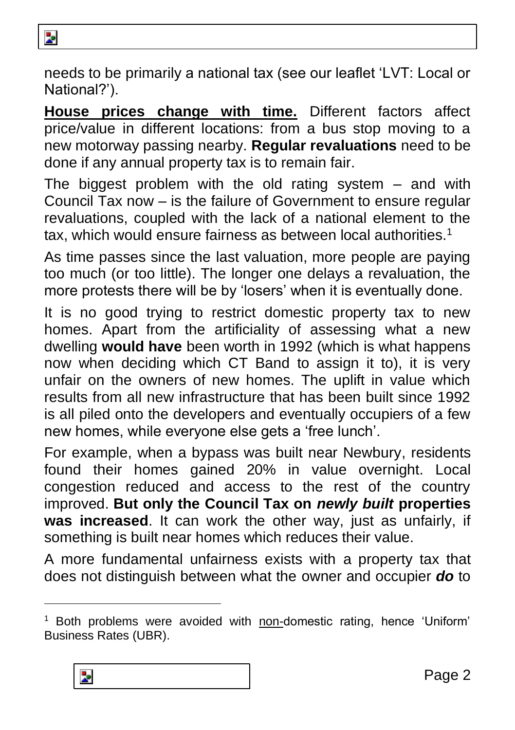

needs to be primarily a national tax (see our leaflet 'LVT: Local or National?').

**House prices change with time.** Different factors affect price/value in different locations: from a bus stop moving to a new motorway passing nearby. **Regular revaluations** need to be done if any annual property tax is to remain fair.

The biggest problem with the old rating system – and with Council Tax now – is the failure of Government to ensure regular revaluations, coupled with the lack of a national element to the tax, which would ensure fairness as between local authorities.<sup>1</sup>

As time passes since the last valuation, more people are paying too much (or too little). The longer one delays a revaluation, the more protests there will be by 'losers' when it is eventually done.

It is no good trying to restrict domestic property tax to new homes. Apart from the artificiality of assessing what a new dwelling **would have** been worth in 1992 (which is what happens now when deciding which CT Band to assign it to), it is very unfair on the owners of new homes. The uplift in value which results from all new infrastructure that has been built since 1992 is all piled onto the developers and eventually occupiers of a few new homes, while everyone else gets a 'free lunch'.

For example, when a bypass was built near Newbury, residents found their homes gained 20% in value overnight. Local congestion reduced and access to the rest of the country improved. **But only the Council Tax on** *newly built* **properties was increased**. It can work the other way, just as unfairly, if something is built near homes which reduces their value.

A more fundamental unfairness exists with a property tax that does not distinguish between what the owner and occupier *do* to

<sup>&</sup>lt;sup>1</sup> Both problems were avoided with non-domestic rating, hence 'Uniform' Business Rates (UBR).

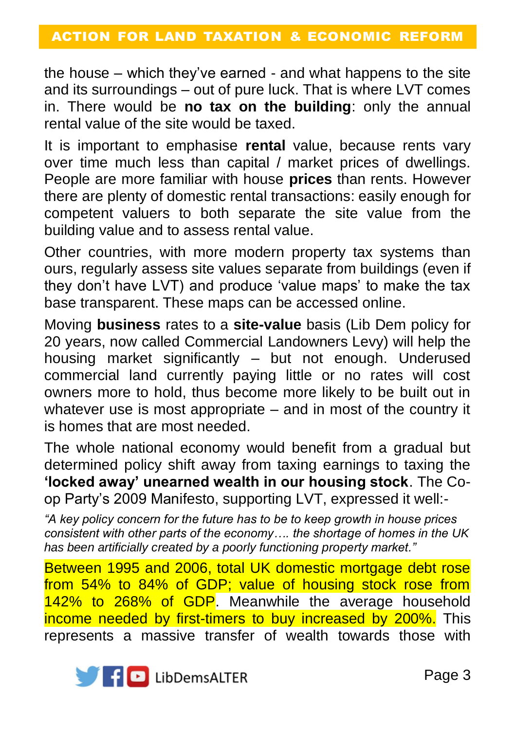the house – which they've earned - and what happens to the site and its surroundings – out of pure luck. That is where LVT comes in. There would be **no tax on the building**: only the annual rental value of the site would be taxed.

It is important to emphasise **rental** value, because rents vary over time much less than capital / market prices of dwellings. People are more familiar with house **prices** than rents. However there are plenty of domestic rental transactions: easily enough for competent valuers to both separate the site value from the building value and to assess rental value.

Other countries, with more modern property tax systems than ours, regularly assess site values separate from buildings (even if they don't have LVT) and produce 'value maps' to make the tax base transparent. These maps can be accessed online.

Moving **business** rates to a **site-value** basis (Lib Dem policy for 20 years, now called Commercial Landowners Levy) will help the housing market significantly – but not enough. Underused commercial land currently paying little or no rates will cost owners more to hold, thus become more likely to be built out in whatever use is most appropriate – and in most of the country it is homes that are most needed.

The whole national economy would benefit from a gradual but determined policy shift away from taxing earnings to taxing the **'locked away' unearned wealth in our housing stock**. The Coop Party's 2009 Manifesto, supporting LVT, expressed it well:-

*"A key policy concern for the future has to be to keep growth in house prices consistent with other parts of the economy…. the shortage of homes in the UK has been artificially created by a poorly functioning property market."*

Between 1995 and 2006, total UK domestic mortgage debt rose from 54% to 84% of GDP; value of housing stock rose from 142% to 268% of GDP. Meanwhile the average household income needed by first-timers to buy increased by 200%. This represents a massive transfer of wealth towards those with